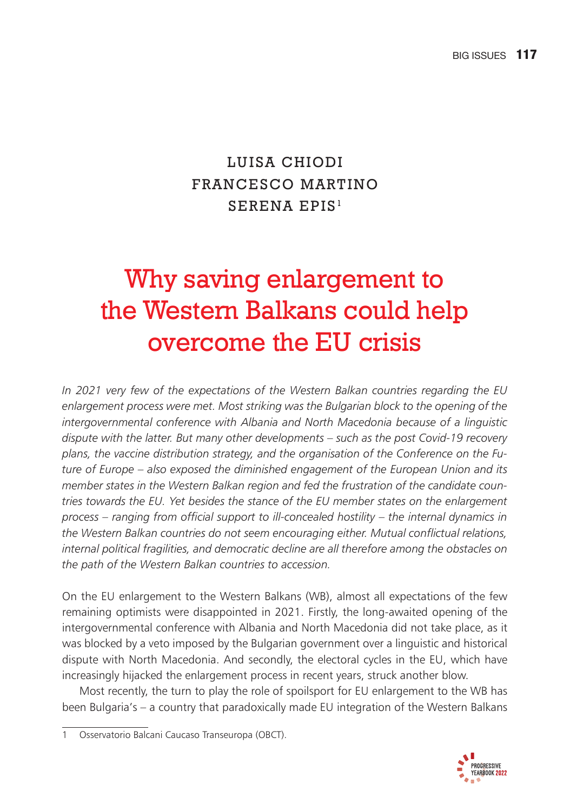# LUISA CHIODI FRANCESCO MARTINO SERENA EPIS<sup>1</sup>

# Why saving enlargement to the Western Balkans could help overcome the EU crisis

*In 2021 very few of the expectations of the Western Balkan countries regarding the EU enlargement process were met. Most striking was the Bulgarian block to the opening of the intergovernmental conference with Albania and North Macedonia because of a linguistic dispute with the latter. But many other developments – such as the post Covid-19 recovery plans, the vaccine distribution strategy, and the organisation of the Conference on the Future of Europe – also exposed the diminished engagement of the European Union and its member states in the Western Balkan region and fed the frustration of the candidate countries towards the EU. Yet besides the stance of the EU member states on the enlargement*  process – ranging from official support to ill-concealed hostility – the internal dynamics in *the Western Balkan countries do not seem encouraging either. Mutual confl ictual relations, internal political fragilities, and democratic decline are all therefore among the obstacles on the path of the Western Balkan countries to accession.* 

On the EU enlargement to the Western Balkans (WB), almost all expectations of the few remaining optimists were disappointed in 2021. Firstly, the long-awaited opening of the intergovernmental conference with Albania and North Macedonia did not take place, as it was blocked by a veto imposed by the Bulgarian government over a linguistic and historical dispute with North Macedonia. And secondly, the electoral cycles in the EU, which have increasingly hijacked the enlargement process in recent years, struck another blow.

Most recently, the turn to play the role of spoilsport for EU enlargement to the WB has been Bulgaria's – a country that paradoxically made EU integration of the Western Balkans



<sup>1</sup> Osservatorio Balcani Caucaso Transeuropa (OBCT).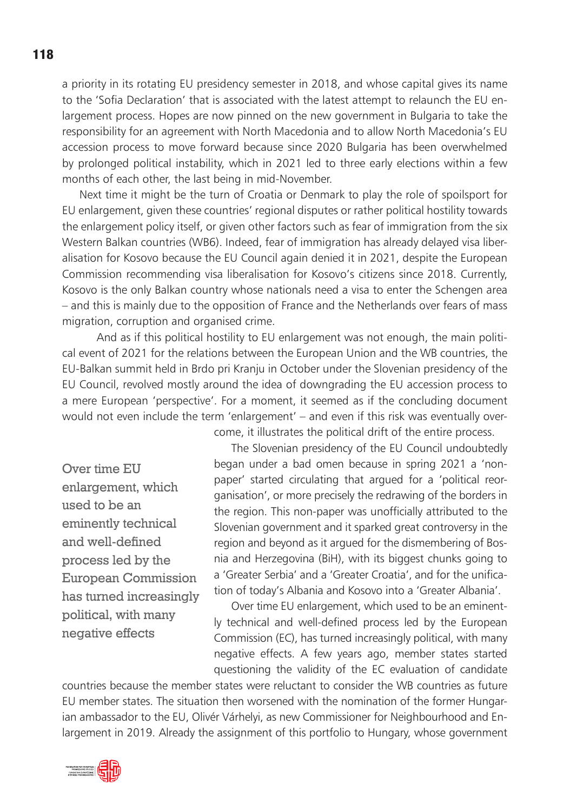a priority in its rotating EU presidency semester in 2018, and whose capital gives its name to the 'Sofia Declaration' that is associated with the latest attempt to relaunch the EU enlargement process. Hopes are now pinned on the new government in Bulgaria to take the responsibility for an agreement with North Macedonia and to allow North Macedonia's EU accession process to move forward because since 2020 Bulgaria has been overwhelmed by prolonged political instability, which in 2021 led to three early elections within a few months of each other, the last being in mid-November.

Next time it might be the turn of Croatia or Denmark to play the role of spoilsport for EU enlargement, given these countries' regional disputes or rather political hostility towards the enlargement policy itself, or given other factors such as fear of immigration from the six Western Balkan countries (WB6). Indeed, fear of immigration has already delayed visa liberalisation for Kosovo because the EU Council again denied it in 2021, despite the European Commission recommending visa liberalisation for Kosovo's citizens since 2018. Currently, Kosovo is the only Balkan country whose nationals need a visa to enter the Schengen area – and this is mainly due to the opposition of France and the Netherlands over fears of mass migration, corruption and organised crime.

 And as if this political hostility to EU enlargement was not enough, the main political event of 2021 for the relations between the European Union and the WB countries, the EU-Balkan summit held in Brdo pri Kranju in October under the Slovenian presidency of the EU Council, revolved mostly around the idea of downgrading the EU accession process to a mere European 'perspective'. For a moment, it seemed as if the concluding document would not even include the term 'enlargement' – and even if this risk was eventually overcome, it illustrates the political drift of the entire process.

Over time EU enlargement, which used to be an eminently technical and well-defined process led by the European Commission has turned increasingly political, with many negative effects

The Slovenian presidency of the EU Council undoubtedly began under a bad omen because in spring 2021 a 'nonpaper' started circulating that argued for a 'political reorganisation', or more precisely the redrawing of the borders in the region. This non-paper was unofficially attributed to the Slovenian government and it sparked great controversy in the region and beyond as it argued for the dismembering of Bosnia and Herzegovina (BiH), with its biggest chunks going to a 'Greater Serbia' and a 'Greater Croatia', and for the unification of today's Albania and Kosovo into a 'Greater Albania'.

Over time EU enlargement, which used to be an eminently technical and well-defined process led by the European Commission (EC), has turned increasingly political, with many negative effects. A few years ago, member states started questioning the validity of the EC evaluation of candidate

countries because the member states were reluctant to consider the WB countries as future EU member states. The situation then worsened with the nomination of the former Hungarian ambassador to the EU, Olivér Várhelyi, as new Commissioner for Neighbourhood and Enlargement in 2019. Already the assignment of this portfolio to Hungary, whose government



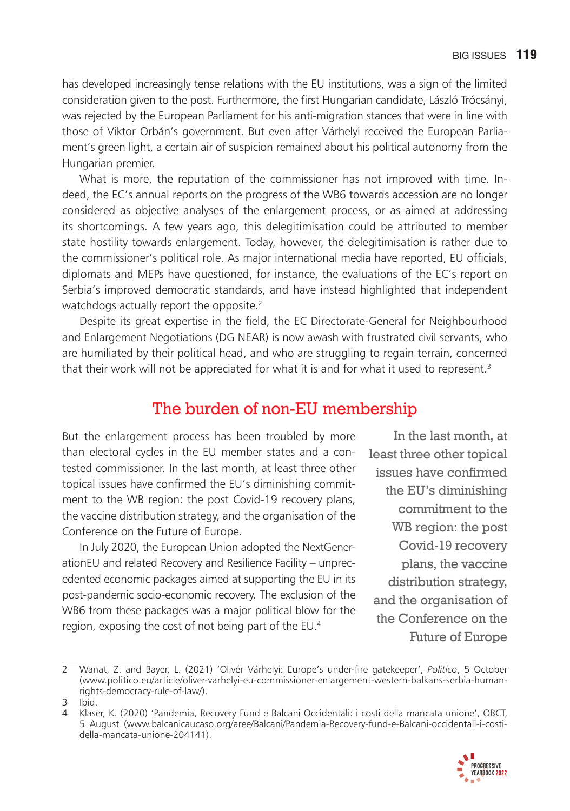has developed increasingly tense relations with the EU institutions, was a sign of the limited consideration given to the post. Furthermore, the first Hungarian candidate, László Trócsányi, was rejected by the European Parliament for his anti-migration stances that were in line with those of Viktor Orbán's government. But even after Várhelyi received the European Parliament's green light, a certain air of suspicion remained about his political autonomy from the Hungarian premier.

What is more, the reputation of the commissioner has not improved with time. Indeed, the EC's annual reports on the progress of the WB6 towards accession are no longer considered as objective analyses of the enlargement process, or as aimed at addressing its shortcomings. A few years ago, this delegitimisation could be attributed to member state hostility towards enlargement. Today, however, the delegitimisation is rather due to the commissioner's political role. As major international media have reported, EU officials, diplomats and MEPs have questioned, for instance, the evaluations of the EC's report on Serbia's improved democratic standards, and have instead highlighted that independent watchdogs actually report the opposite.<sup>2</sup>

Despite its great expertise in the field, the EC Directorate-General for Neighbourhood and Enlargement Negotiations (DG NEAR) is now awash with frustrated civil servants, who are humiliated by their political head, and who are struggling to regain terrain, concerned that their work will not be appreciated for what it is and for what it used to represent.<sup>3</sup>

#### The burden of non-EU membership

But the enlargement process has been troubled by more than electoral cycles in the EU member states and a contested commissioner. In the last month, at least three other topical issues have confirmed the EU's diminishing commitment to the WB region: the post Covid-19 recovery plans, the vaccine distribution strategy, and the organisation of the Conference on the Future of Europe.

In July 2020, the European Union adopted the NextGenerationEU and related Recovery and Resilience Facility – unprecedented economic packages aimed at supporting the EU in its post-pandemic socio-economic recovery. The exclusion of the WB6 from these packages was a major political blow for the region, exposing the cost of not being part of the EU.4

In the last month, at least three other topical issues have confirmed the EU's diminishing commitment to the WB region: the post Covid-19 recovery plans, the vaccine distribution strategy, and the organisation of the Conference on the Future of Europe

<sup>4</sup> Klaser, K. (2020) 'Pandemia, Recovery Fund e Balcani Occidentali: i costi della mancata unione', OBCT, 5 August (www.balcanicaucaso.org/aree/Balcani/Pandemia-Recovery-fund-e-Balcani-occidentali-i-costidella-mancata-unione-204141).



<sup>2</sup> Wanat, Z. and Bayer, L. (2021) 'Olivér Várhelyi: Europe's under-fire gatekeeper', Politico, 5 October (www.politico.eu/article/oliver-varhelyi-eu-commissioner-enlargement-western-balkans-serbia-humanrights-democracy-rule-of-law/).

<sup>3</sup> Ibid.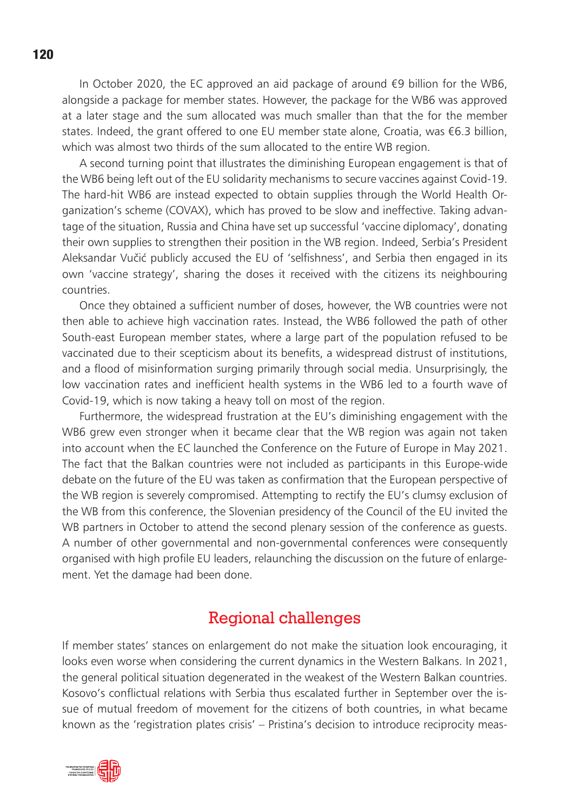In October 2020, the EC approved an aid package of around  $\epsilon$ 9 billion for the WB6. alongside a package for member states. However, the package for the WB6 was approved at a later stage and the sum allocated was much smaller than that the for the member states. Indeed, the grant offered to one EU member state alone, Croatia, was €6.3 billion, which was almost two thirds of the sum allocated to the entire WB region.

A second turning point that illustrates the diminishing European engagement is that of the WB6 being left out of the EU solidarity mechanisms to secure vaccines against Covid-19. The hard-hit WB6 are instead expected to obtain supplies through the World Health Organization's scheme (COVAX), which has proved to be slow and ineffective. Taking advantage of the situation, Russia and China have set up successful 'vaccine diplomacy', donating their own supplies to strengthen their position in the WB region. Indeed, Serbia's President Aleksandar Vučić publicly accused the EU of 'selfishness', and Serbia then engaged in its own 'vaccine strategy', sharing the doses it received with the citizens its neighbouring countries.

Once they obtained a sufficient number of doses, however, the WB countries were not then able to achieve high vaccination rates. Instead, the WB6 followed the path of other South-east European member states, where a large part of the population refused to be vaccinated due to their scepticism about its benefits, a widespread distrust of institutions, and a flood of misinformation surging primarily through social media. Unsurprisingly, the low vaccination rates and inefficient health systems in the WB6 led to a fourth wave of Covid-19, which is now taking a heavy toll on most of the region.

Furthermore, the widespread frustration at the EU's diminishing engagement with the WB6 grew even stronger when it became clear that the WB region was again not taken into account when the EC launched the Conference on the Future of Europe in May 2021. The fact that the Balkan countries were not included as participants in this Europe-wide debate on the future of the EU was taken as confirmation that the European perspective of the WB region is severely compromised. Attempting to rectify the EU's clumsy exclusion of the WB from this conference, the Slovenian presidency of the Council of the EU invited the WB partners in October to attend the second plenary session of the conference as quests. A number of other governmental and non-governmental conferences were consequently organised with high profile EU leaders, relaunching the discussion on the future of enlargement. Yet the damage had been done.

#### Regional challenges

If member states' stances on enlargement do not make the situation look encouraging, it looks even worse when considering the current dynamics in the Western Balkans. In 2021, the general political situation degenerated in the weakest of the Western Balkan countries. Kosovo's conflictual relations with Serbia thus escalated further in September over the issue of mutual freedom of movement for the citizens of both countries, in what became known as the 'registration plates crisis' – Pristina's decision to introduce reciprocity meas-

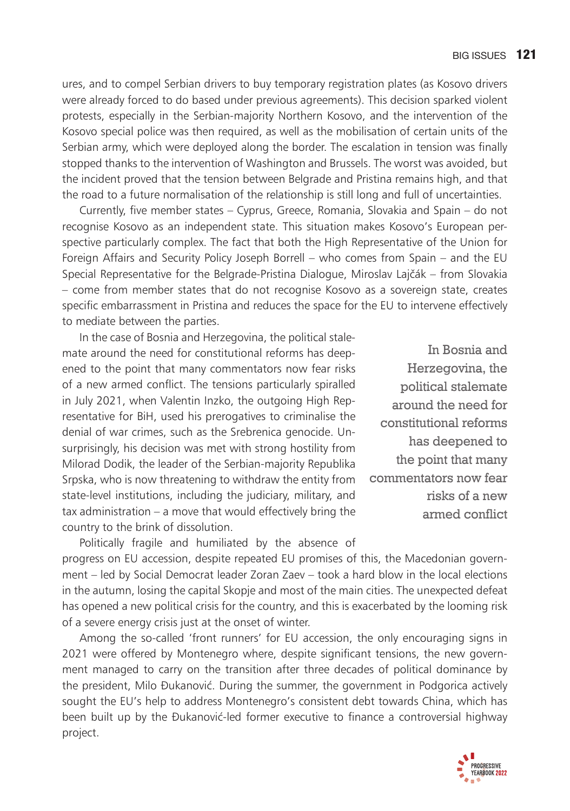ures, and to compel Serbian drivers to buy temporary registration plates (as Kosovo drivers were already forced to do based under previous agreements). This decision sparked violent protests, especially in the Serbian-majority Northern Kosovo, and the intervention of the Kosovo special police was then required, as well as the mobilisation of certain units of the Serbian army, which were deployed along the border. The escalation in tension was finally stopped thanks to the intervention of Washington and Brussels. The worst was avoided, but the incident proved that the tension between Belgrade and Pristina remains high, and that the road to a future normalisation of the relationship is still long and full of uncertainties.

Currently, five member states – Cyprus, Greece, Romania, Slovakia and Spain – do not recognise Kosovo as an independent state. This situation makes Kosovo's European perspective particularly complex. The fact that both the High Representative of the Union for Foreign Affairs and Security Policy Joseph Borrell – who comes from Spain – and the EU Special Representative for the Belgrade-Pristina Dialogue, Miroslav Lajčák – from Slovakia – come from member states that do not recognise Kosovo as a sovereign state, creates specific embarrassment in Pristina and reduces the space for the EU to intervene effectively to mediate between the parties.

In the case of Bosnia and Herzegovina, the political stalemate around the need for constitutional reforms has deepened to the point that many commentators now fear risks of a new armed conflict. The tensions particularly spiralled in July 2021, when Valentin Inzko, the outgoing High Representative for BiH, used his prerogatives to criminalise the denial of war crimes, such as the Srebrenica genocide. Unsurprisingly, his decision was met with strong hostility from Milorad Dodik, the leader of the Serbian-majority Republika Srpska, who is now threatening to withdraw the entity from state-level institutions, including the judiciary, military, and tax administration – a move that would effectively bring the country to the brink of dissolution.

In Bosnia and Herzegovina, the political stalemate around the need for constitutional reforms has deepened to the point that many commentators now fear risks of a new armed conflict

Politically fragile and humiliated by the absence of progress on EU accession, despite repeated EU promises of this, the Macedonian government – led by Social Democrat leader Zoran Zaev – took a hard blow in the local elections in the autumn, losing the capital Skopje and most of the main cities. The unexpected defeat has opened a new political crisis for the country, and this is exacerbated by the looming risk of a severe energy crisis just at the onset of winter.

Among the so-called 'front runners' for EU accession, the only encouraging signs in 2021 were offered by Montenegro where, despite significant tensions, the new government managed to carry on the transition after three decades of political dominance by the president, Milo Đukanović. During the summer, the government in Podgorica actively sought the EU's help to address Montenegro's consistent debt towards China, which has been built up by the Đukanović-led former executive to finance a controversial highway project.

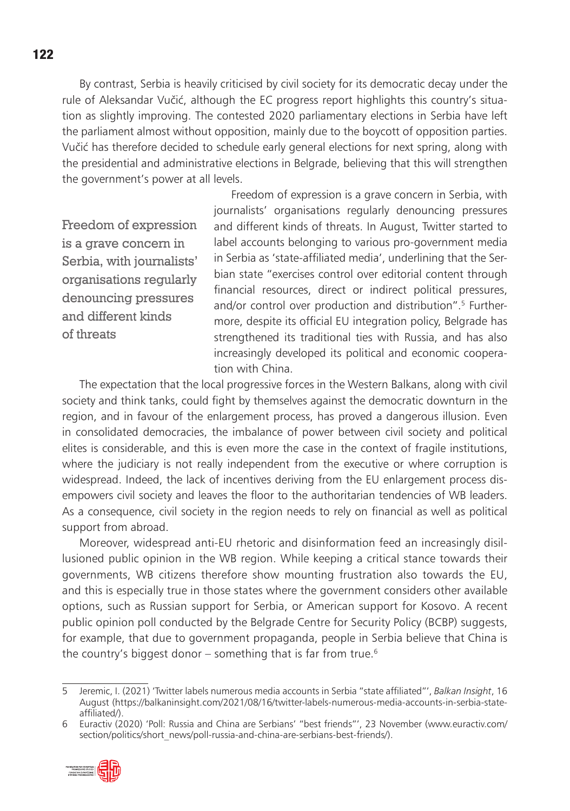By contrast, Serbia is heavily criticised by civil society for its democratic decay under the rule of Aleksandar Vučić, although the EC progress report highlights this country's situation as slightly improving. The contested 2020 parliamentary elections in Serbia have left the parliament almost without opposition, mainly due to the boycott of opposition parties. Vučić has therefore decided to schedule early general elections for next spring, along with the presidential and administrative elections in Belgrade, believing that this will strengthen the government's power at all levels.

Freedom of expression is a grave concern in Serbia, with journalists' organisations regularly denouncing pressures and different kinds of threats

Freedom of expression is a grave concern in Serbia, with journalists' organisations regularly denouncing pressures and different kinds of threats. In August, Twitter started to label accounts belonging to various pro-government media in Serbia as 'state-affiliated media', underlining that the Serbian state "exercises control over editorial content through financial resources, direct or indirect political pressures, and/or control over production and distribution".5 Furthermore, despite its official EU integration policy, Belgrade has strengthened its traditional ties with Russia, and has also increasingly developed its political and economic cooperation with China.

The expectation that the local progressive forces in the Western Balkans, along with civil society and think tanks, could fight by themselves against the democratic downturn in the region, and in favour of the enlargement process, has proved a dangerous illusion. Even in consolidated democracies, the imbalance of power between civil society and political elites is considerable, and this is even more the case in the context of fragile institutions, where the judiciary is not really independent from the executive or where corruption is widespread. Indeed, the lack of incentives deriving from the EU enlargement process disempowers civil society and leaves the floor to the authoritarian tendencies of WB leaders. As a consequence, civil society in the region needs to rely on financial as well as political support from abroad.

Moreover, widespread anti-EU rhetoric and disinformation feed an increasingly disillusioned public opinion in the WB region. While keeping a critical stance towards their governments, WB citizens therefore show mounting frustration also towards the EU, and this is especially true in those states where the government considers other available options, such as Russian support for Serbia, or American support for Kosovo. A recent public opinion poll conducted by the Belgrade Centre for Security Policy (BCBP) suggests, for example, that due to government propaganda, people in Serbia believe that China is the country's biggest donor – something that is far from true.<sup>6</sup>

<sup>6</sup> Euractiv (2020) 'Poll: Russia and China are Serbians' "best friends"', 23 November (www.euractiv.com/ section/politics/short\_news/poll-russia-and-china-are-serbians-best-friends/).



<sup>5</sup> Jeremic, I. (2021) 'Twitter labels numerous media accounts in Serbia "state affi liated"', *Balkan Insight*, 16 August (https://balkaninsight.com/2021/08/16/twitter-labels-numerous-media-accounts-in-serbia-stateaffiliated/).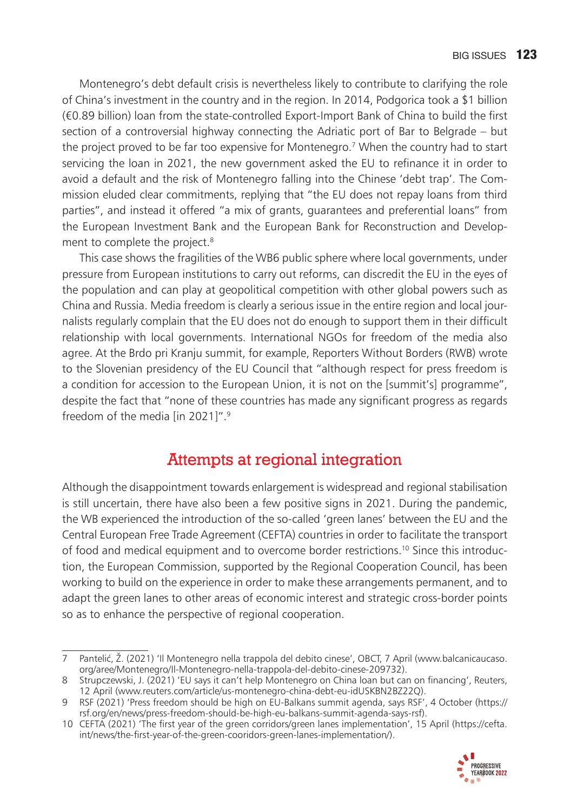Montenegro's debt default crisis is nevertheless likely to contribute to clarifying the role of China's investment in the country and in the region. In 2014, Podgorica took a \$1 billion (€0.89 billion) loan from the state-controlled Export-Import Bank of China to build the first section of a controversial highway connecting the Adriatic port of Bar to Belgrade – but the project proved to be far too expensive for Montenegro.7 When the country had to start servicing the loan in 2021, the new government asked the EU to refinance it in order to avoid a default and the risk of Montenegro falling into the Chinese 'debt trap'. The Commission eluded clear commitments, replying that "the EU does not repay loans from third parties", and instead it offered "a mix of grants, guarantees and preferential loans" from the European Investment Bank and the European Bank for Reconstruction and Development to complete the project.<sup>8</sup>

This case shows the fragilities of the WB6 public sphere where local governments, under pressure from European institutions to carry out reforms, can discredit the EU in the eyes of the population and can play at geopolitical competition with other global powers such as China and Russia. Media freedom is clearly a serious issue in the entire region and local journalists regularly complain that the EU does not do enough to support them in their difficult relationship with local governments. International NGOs for freedom of the media also agree. At the Brdo pri Kranju summit, for example, Reporters Without Borders (RWB) wrote to the Slovenian presidency of the EU Council that "although respect for press freedom is a condition for accession to the European Union, it is not on the [summit's] programme", despite the fact that "none of these countries has made any significant progress as regards freedom of the media [in 2021]".9

# Attempts at regional integration

Although the disappointment towards enlargement is widespread and regional stabilisation is still uncertain, there have also been a few positive signs in 2021. During the pandemic, the WB experienced the introduction of the so-called 'green lanes' between the EU and the Central European Free Trade Agreement (CEFTA) countries in order to facilitate the transport of food and medical equipment and to overcome border restrictions.10 Since this introduction, the European Commission, supported by the Regional Cooperation Council, has been working to build on the experience in order to make these arrangements permanent, and to adapt the green lanes to other areas of economic interest and strategic cross-border points so as to enhance the perspective of regional cooperation.

<sup>10</sup> CEFTA (2021) 'The first year of the green corridors/green lanes implementation', 15 April (https://cefta. int/news/the-first-year-of-the-green-cooridors-green-lanes-implementation/).



<sup>7</sup> PanteliÊ, Ž. (2021) 'Il Montenegro nella trappola del debito cinese', OBCT, 7 April (www.balcanicaucaso. org/aree/Montenegro/Il-Montenegro-nella-trappola-del-debito-cinese-209732).

<sup>8</sup> Strupczewski, J. (2021) 'EU says it can't help Montenegro on China loan but can on financing', Reuters, 12 April (www.reuters.com/article/us-montenegro-china-debt-eu-idUSKBN2BZ22Q).

<sup>9</sup> RSF (2021) 'Press freedom should be high on EU-Balkans summit agenda, says RSF', 4 October (https:// rsf.org/en/news/press-freedom-should-be-high-eu-balkans-summit-agenda-says-rsf).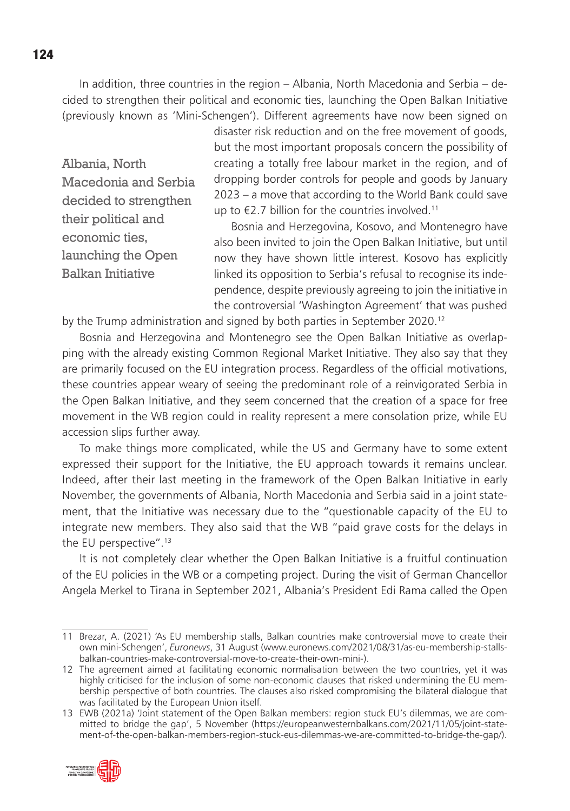In addition, three countries in the region – Albania, North Macedonia and Serbia – decided to strengthen their political and economic ties, launching the Open Balkan Initiative (previously known as 'Mini-Schengen'). Different agreements have now been signed on

Albania, North Macedonia and Serbia decided to strengthen their political and economic ties, launching the Open Balkan Initiative

disaster risk reduction and on the free movement of goods, but the most important proposals concern the possibility of creating a totally free labour market in the region, and of dropping border controls for people and goods by January 2023 – a move that according to the World Bank could save up to  $\epsilon$ 2.7 billion for the countries involved.<sup>11</sup>

Bosnia and Herzegovina, Kosovo, and Montenegro have also been invited to join the Open Balkan Initiative, but until now they have shown little interest. Kosovo has explicitly linked its opposition to Serbia's refusal to recognise its independence, despite previously agreeing to join the initiative in the controversial 'Washington Agreement' that was pushed

by the Trump administration and signed by both parties in September 2020.<sup>12</sup>

Bosnia and Herzegovina and Montenegro see the Open Balkan Initiative as overlapping with the already existing Common Regional Market Initiative. They also say that they are primarily focused on the EU integration process. Regardless of the official motivations, these countries appear weary of seeing the predominant role of a reinvigorated Serbia in the Open Balkan Initiative, and they seem concerned that the creation of a space for free movement in the WB region could in reality represent a mere consolation prize, while EU accession slips further away.

To make things more complicated, while the US and Germany have to some extent expressed their support for the Initiative, the EU approach towards it remains unclear. Indeed, after their last meeting in the framework of the Open Balkan Initiative in early November, the governments of Albania, North Macedonia and Serbia said in a joint statement, that the Initiative was necessary due to the "questionable capacity of the EU to integrate new members. They also said that the WB "paid grave costs for the delays in the EU perspective".13

It is not completely clear whether the Open Balkan Initiative is a fruitful continuation of the EU policies in the WB or a competing project. During the visit of German Chancellor Angela Merkel to Tirana in September 2021, Albania's President Edi Rama called the Open

<sup>13</sup> EWB (2021a) 'Joint statement of the Open Balkan members: region stuck EU's dilemmas, we are committed to bridge the gap', 5 November (https://europeanwesternbalkans.com/2021/11/05/joint-statement-of-the-open-balkan-members-region-stuck-eus-dilemmas-we-are-committed-to-bridge-the-gap/).



<sup>11</sup> Brezar, A. (2021) 'As EU membership stalls, Balkan countries make controversial move to create their own mini-Schengen', *Euronews*, 31 August (www.euronews.com/2021/08/31/as-eu-membership-stallsbalkan-countries-make-controversial-move-to-create-their-own-mini-).

<sup>12</sup> The agreement aimed at facilitating economic normalisation between the two countries, yet it was highly criticised for the inclusion of some non-economic clauses that risked undermining the EU membership perspective of both countries. The clauses also risked compromising the bilateral dialogue that was facilitated by the European Union itself.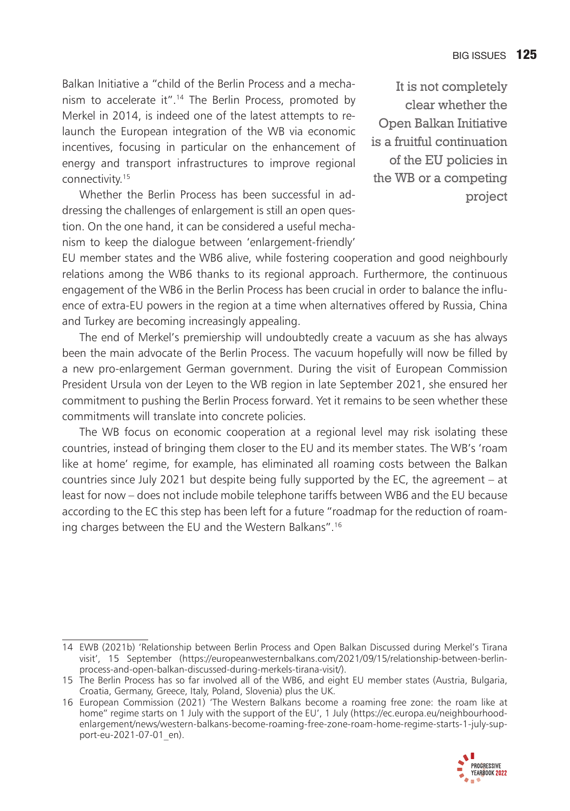Balkan Initiative a "child of the Berlin Process and a mechanism to accelerate it".<sup>14</sup> The Berlin Process, promoted by Merkel in 2014, is indeed one of the latest attempts to relaunch the European integration of the WB via economic incentives, focusing in particular on the enhancement of energy and transport infrastructures to improve regional connectivity.15

Whether the Berlin Process has been successful in addressing the challenges of enlargement is still an open question. On the one hand, it can be considered a useful mechanism to keep the dialogue between 'enlargement-friendly'

It is not completely clear whether the Open Balkan Initiative is a fruitful continuation of the EU policies in the WB or a competing project

EU member states and the WB6 alive, while fostering cooperation and good neighbourly relations among the WB6 thanks to its regional approach. Furthermore, the continuous engagement of the WB6 in the Berlin Process has been crucial in order to balance the influence of extra-EU powers in the region at a time when alternatives offered by Russia, China and Turkey are becoming increasingly appealing.

The end of Merkel's premiership will undoubtedly create a vacuum as she has always been the main advocate of the Berlin Process. The vacuum hopefully will now be filled by a new pro-enlargement German government. During the visit of European Commission President Ursula von der Leyen to the WB region in late September 2021, she ensured her commitment to pushing the Berlin Process forward. Yet it remains to be seen whether these commitments will translate into concrete policies.

The WB focus on economic cooperation at a regional level may risk isolating these countries, instead of bringing them closer to the EU and its member states. The WB's 'roam like at home' regime, for example, has eliminated all roaming costs between the Balkan countries since July 2021 but despite being fully supported by the EC, the agreement – at least for now – does not include mobile telephone tariffs between WB6 and the EU because according to the EC this step has been left for a future "roadmap for the reduction of roaming charges between the EU and the Western Balkans".16

<sup>16</sup> European Commission (2021) 'The Western Balkans become a roaming free zone: the roam like at home" regime starts on 1 July with the support of the EU', 1 July (https://ec.europa.eu/neighbourhoodenlargement/news/western-balkans-become-roaming-free-zone-roam-home-regime-starts-1-july-support-eu-2021-07-01\_en).



<sup>14</sup> EWB (2021b) 'Relationship between Berlin Process and Open Balkan Discussed during Merkel's Tirana visit', 15 September (https://europeanwesternbalkans.com/2021/09/15/relationship-between-berlinprocess-and-open-balkan-discussed-during-merkels-tirana-visit/).

<sup>15</sup> The Berlin Process has so far involved all of the WB6, and eight EU member states (Austria, Bulgaria, Croatia, Germany, Greece, Italy, Poland, Slovenia) plus the UK.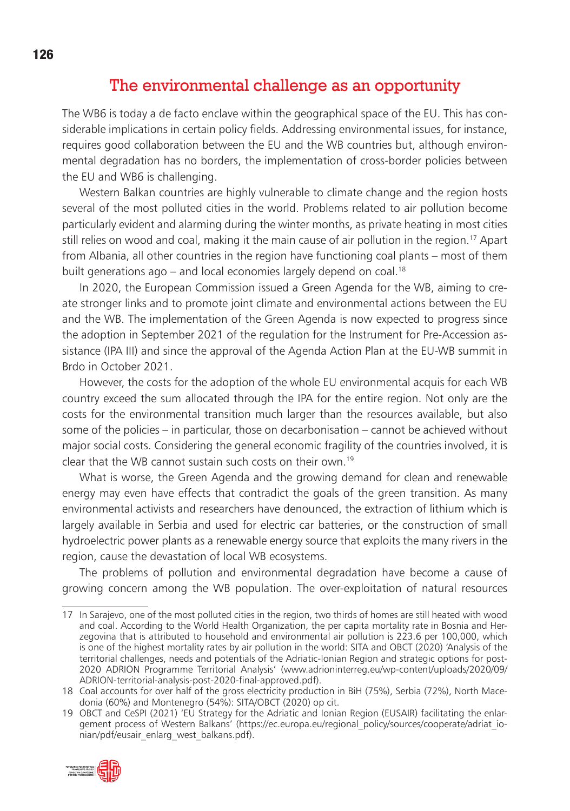#### The environmental challenge as an opportunity

The WB6 is today a de facto enclave within the geographical space of the EU. This has considerable implications in certain policy fields. Addressing environmental issues, for instance, requires good collaboration between the EU and the WB countries but, although environmental degradation has no borders, the implementation of cross-border policies between the EU and WB6 is challenging.

Western Balkan countries are highly vulnerable to climate change and the region hosts several of the most polluted cities in the world. Problems related to air pollution become particularly evident and alarming during the winter months, as private heating in most cities still relies on wood and coal, making it the main cause of air pollution in the region.<sup>17</sup> Apart from Albania, all other countries in the region have functioning coal plants – most of them built generations ago – and local economies largely depend on coal.<sup>18</sup>

In 2020, the European Commission issued a Green Agenda for the WB, aiming to create stronger links and to promote joint climate and environmental actions between the EU and the WB. The implementation of the Green Agenda is now expected to progress since the adoption in September 2021 of the regulation for the Instrument for Pre-Accession assistance (IPA III) and since the approval of the Agenda Action Plan at the EU-WB summit in Brdo in October 2021.

However, the costs for the adoption of the whole EU environmental acquis for each WB country exceed the sum allocated through the IPA for the entire region. Not only are the costs for the environmental transition much larger than the resources available, but also some of the policies – in particular, those on decarbonisation – cannot be achieved without major social costs. Considering the general economic fragility of the countries involved, it is clear that the WB cannot sustain such costs on their own.19

What is worse, the Green Agenda and the growing demand for clean and renewable energy may even have effects that contradict the goals of the green transition. As many environmental activists and researchers have denounced, the extraction of lithium which is largely available in Serbia and used for electric car batteries, or the construction of small hydroelectric power plants as a renewable energy source that exploits the many rivers in the region, cause the devastation of local WB ecosystems.

The problems of pollution and environmental degradation have become a cause of growing concern among the WB population. The over-exploitation of natural resources

<sup>19</sup> OBCT and CeSPI (2021) 'EU Strategy for the Adriatic and Ionian Region (EUSAIR) facilitating the enlargement process of Western Balkans' (https://ec.europa.eu/regional\_policy/sources/cooperate/adriat\_ionian/pdf/eusair\_enlarg\_west\_balkans.pdf).



<sup>17</sup> In Sarajevo, one of the most polluted cities in the region, two thirds of homes are still heated with wood and coal. According to the World Health Organization, the per capita mortality rate in Bosnia and Herzegovina that is attributed to household and environmental air pollution is 223.6 per 100,000, which is one of the highest mortality rates by air pollution in the world: SITA and OBCT (2020) 'Analysis of the territorial challenges, needs and potentials of the Adriatic-Ionian Region and strategic options for post-2020 ADRION Programme Territorial Analysis' (www.adrioninterreg.eu/wp-content/uploads/2020/09/ ADRION-territorial-analysis-post-2020-final-approved.pdf).

<sup>18</sup> Coal accounts for over half of the gross electricity production in BiH (75%), Serbia (72%), North Macedonia (60%) and Montenegro (54%): SITA/OBCT (2020) op cit.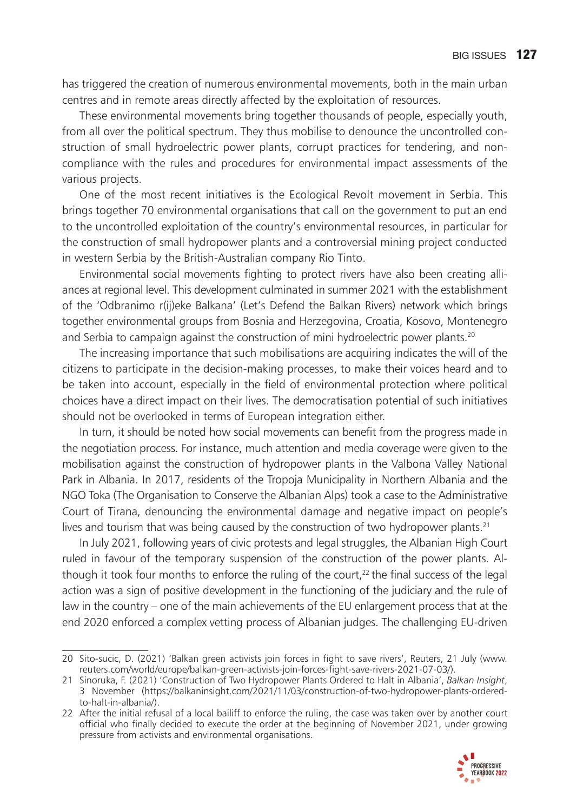has triggered the creation of numerous environmental movements, both in the main urban centres and in remote areas directly affected by the exploitation of resources.

These environmental movements bring together thousands of people, especially youth, from all over the political spectrum. They thus mobilise to denounce the uncontrolled construction of small hydroelectric power plants, corrupt practices for tendering, and noncompliance with the rules and procedures for environmental impact assessments of the various projects.

One of the most recent initiatives is the Ecological Revolt movement in Serbia. This brings together 70 environmental organisations that call on the government to put an end to the uncontrolled exploitation of the country's environmental resources, in particular for the construction of small hydropower plants and a controversial mining project conducted in western Serbia by the British-Australian company Rio Tinto.

Environmental social movements fighting to protect rivers have also been creating alliances at regional level. This development culminated in summer 2021 with the establishment of the 'Odbranimo r(ij)eke Balkana' (Let's Defend the Balkan Rivers) network which brings together environmental groups from Bosnia and Herzegovina, Croatia, Kosovo, Montenegro and Serbia to campaign against the construction of mini hydroelectric power plants.<sup>20</sup>

The increasing importance that such mobilisations are acquiring indicates the will of the citizens to participate in the decision-making processes, to make their voices heard and to be taken into account, especially in the field of environmental protection where political choices have a direct impact on their lives. The democratisation potential of such initiatives should not be overlooked in terms of European integration either.

In turn, it should be noted how social movements can benefit from the progress made in the negotiation process. For instance, much attention and media coverage were given to the mobilisation against the construction of hydropower plants in the Valbona Valley National Park in Albania. In 2017, residents of the Tropoja Municipality in Northern Albania and the NGO Toka (The Organisation to Conserve the Albanian Alps) took a case to the Administrative Court of Tirana, denouncing the environmental damage and negative impact on people's lives and tourism that was being caused by the construction of two hydropower plants.<sup>21</sup>

In July 2021, following years of civic protests and legal struggles, the Albanian High Court ruled in favour of the temporary suspension of the construction of the power plants. Although it took four months to enforce the ruling of the court, $22$  the final success of the legal action was a sign of positive development in the functioning of the judiciary and the rule of law in the country – one of the main achievements of the EU enlargement process that at the end 2020 enforced a complex vetting process of Albanian judges. The challenging EU-driven

<sup>22</sup> After the initial refusal of a local bailiff to enforce the ruling, the case was taken over by another court official who finally decided to execute the order at the beginning of November 2021, under growing pressure from activists and environmental organisations.



<sup>20</sup> Sito-sucic, D. (2021) 'Balkan green activists join forces in fight to save rivers', Reuters, 21 July (www. reuters.com/world/europe/balkan-green-activists-join-forces-fight-save-rivers-2021-07-03/).

<sup>21</sup> Sinoruka, F. (2021) 'Construction of Two Hydropower Plants Ordered to Halt in Albania', *Balkan Insight*, 3 November (https://balkaninsight.com/2021/11/03/construction-of-two-hydropower-plants-orderedto-halt-in-albania/).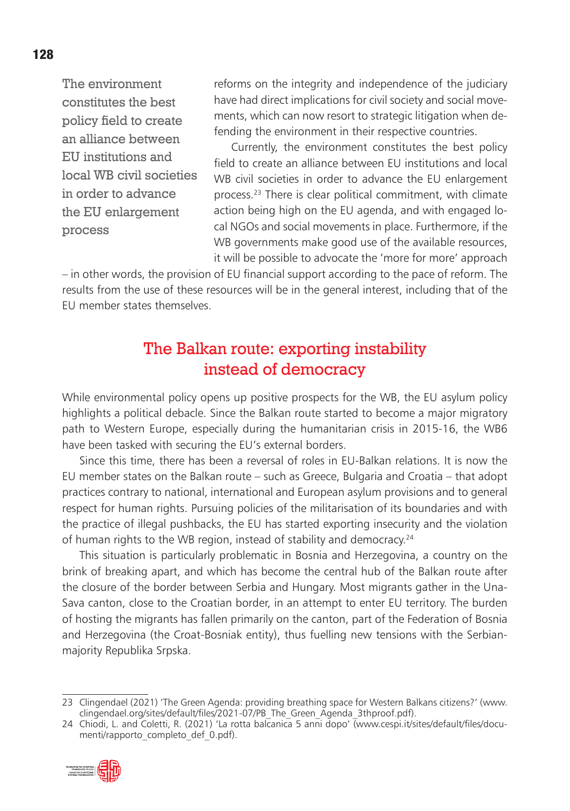The environment constitutes the best policy field to create an alliance between EU institutions and local WB civil societies in order to advance the EU enlargement process

reforms on the integrity and independence of the judiciary have had direct implications for civil society and social movements, which can now resort to strategic litigation when defending the environment in their respective countries.

Currently, the environment constitutes the best policy field to create an alliance between EU institutions and local WB civil societies in order to advance the EU enlargement process.23 There is clear political commitment, with climate action being high on the EU agenda, and with engaged local NGOs and social movements in place. Furthermore, if the WB governments make good use of the available resources, it will be possible to advocate the 'more for more' approach

– in other words, the provision of EU financial support according to the pace of reform. The results from the use of these resources will be in the general interest, including that of the EU member states themselves.

# The Balkan route: exporting instability instead of democracy

While environmental policy opens up positive prospects for the WB, the EU asylum policy highlights a political debacle. Since the Balkan route started to become a major migratory path to Western Europe, especially during the humanitarian crisis in 2015-16, the WB6 have been tasked with securing the EU's external borders.

Since this time, there has been a reversal of roles in EU-Balkan relations. It is now the EU member states on the Balkan route – such as Greece, Bulgaria and Croatia – that adopt practices contrary to national, international and European asylum provisions and to general respect for human rights. Pursuing policies of the militarisation of its boundaries and with the practice of illegal pushbacks, the EU has started exporting insecurity and the violation of human rights to the WB region, instead of stability and democracy.<sup>24</sup>

This situation is particularly problematic in Bosnia and Herzegovina, a country on the brink of breaking apart, and which has become the central hub of the Balkan route after the closure of the border between Serbia and Hungary. Most migrants gather in the Una-Sava canton, close to the Croatian border, in an attempt to enter EU territory. The burden of hosting the migrants has fallen primarily on the canton, part of the Federation of Bosnia and Herzegovina (the Croat-Bosniak entity), thus fuelling new tensions with the Serbianmajority Republika Srpska.

<sup>24</sup> Chiodi, L. and Coletti, R. (2021) 'La rotta balcanica 5 anni dopo' (www.cespi.it/sites/default/files/documenti/rapporto\_completo\_def\_0.pdf).



<sup>23</sup> Clingendael (2021) 'The Green Agenda: providing breathing space for Western Balkans citizens?' (www. clingendael.org/sites/default/files/2021-07/PB\_The\_Green\_Agenda\_3thproof.pdf).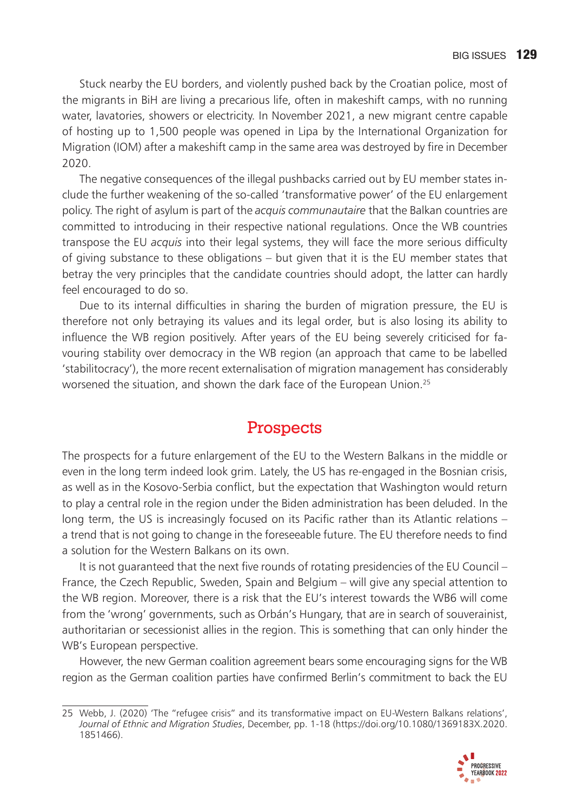Stuck nearby the EU borders, and violently pushed back by the Croatian police, most of the migrants in BiH are living a precarious life, often in makeshift camps, with no running water, lavatories, showers or electricity. In November 2021, a new migrant centre capable of hosting up to 1,500 people was opened in Lipa by the International Organization for Migration (IOM) after a makeshift camp in the same area was destroyed by fire in December 2020.

The negative consequences of the illegal pushbacks carried out by EU member states include the further weakening of the so-called 'transformative power' of the EU enlargement policy. The right of asylum is part of the *acquis communautaire* that the Balkan countries are committed to introducing in their respective national regulations. Once the WB countries transpose the EU *acquis* into their legal systems, they will face the more serious difficulty of giving substance to these obligations – but given that it is the EU member states that betray the very principles that the candidate countries should adopt, the latter can hardly feel encouraged to do so.

Due to its internal difficulties in sharing the burden of migration pressure, the EU is therefore not only betraying its values and its legal order, but is also losing its ability to influence the WB region positively. After years of the EU being severely criticised for favouring stability over democracy in the WB region (an approach that came to be labelled 'stabilitocracy'), the more recent externalisation of migration management has considerably worsened the situation, and shown the dark face of the European Union.<sup>25</sup>

# **Prospects**

The prospects for a future enlargement of the EU to the Western Balkans in the middle or even in the long term indeed look grim. Lately, the US has re-engaged in the Bosnian crisis, as well as in the Kosovo-Serbia conflict, but the expectation that Washington would return to play a central role in the region under the Biden administration has been deluded. In the long term, the US is increasingly focused on its Pacific rather than its Atlantic relations – a trend that is not going to change in the foreseeable future. The EU therefore needs to find a solution for the Western Balkans on its own.

It is not quaranteed that the next five rounds of rotating presidencies of the EU Council – France, the Czech Republic, Sweden, Spain and Belgium – will give any special attention to the WB region. Moreover, there is a risk that the EU's interest towards the WB6 will come from the 'wrong' governments, such as Orbán's Hungary, that are in search of souverainist, authoritarian or secessionist allies in the region. This is something that can only hinder the WB's European perspective.

However, the new German coalition agreement bears some encouraging signs for the WB region as the German coalition parties have confirmed Berlin's commitment to back the EU

<sup>25</sup> Webb, J. (2020) 'The "refugee crisis" and its transformative impact on EU-Western Balkans relations', *Journal of Ethnic and Migration Studies*, December, pp. 1-18 (https://doi.org/10.1080/1369183X.2020. 1851466).

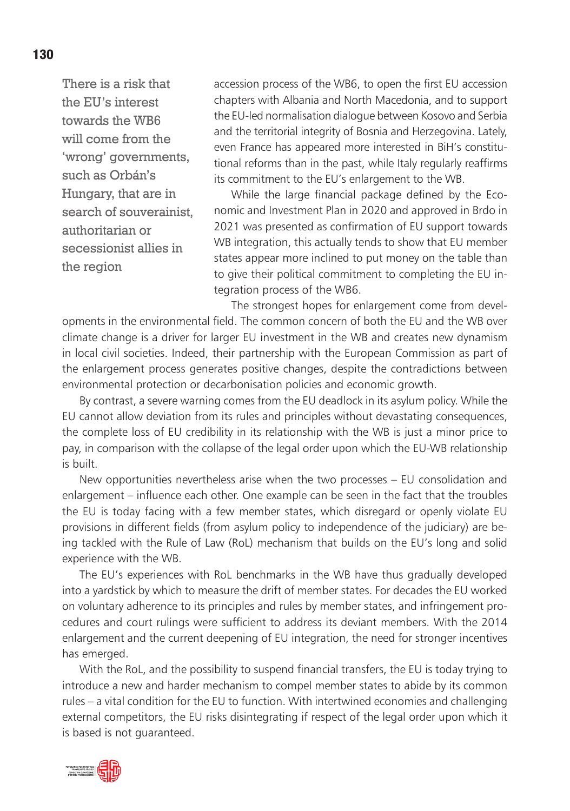There is a risk that the EU's interest towards the WB6 will come from the 'wrong' governments, such as Orbán's Hungary, that are in search of souverainist, authoritarian or secessionist allies in the region

accession process of the WB6, to open the first EU accession chapters with Albania and North Macedonia, and to support the EU-led normalisation dialogue between Kosovo and Serbia and the territorial integrity of Bosnia and Herzegovina. Lately, even France has appeared more interested in BiH's constitutional reforms than in the past, while Italy regularly reaffirms its commitment to the EU's enlargement to the WB.

While the large financial package defined by the Economic and Investment Plan in 2020 and approved in Brdo in 2021 was presented as confirmation of EU support towards WB integration, this actually tends to show that EU member states appear more inclined to put money on the table than to give their political commitment to completing the EU integration process of the WB6.

The strongest hopes for enlargement come from developments in the environmental field. The common concern of both the EU and the WB over climate change is a driver for larger EU investment in the WB and creates new dynamism in local civil societies. Indeed, their partnership with the European Commission as part of the enlargement process generates positive changes, despite the contradictions between environmental protection or decarbonisation policies and economic growth.

By contrast, a severe warning comes from the EU deadlock in its asylum policy. While the EU cannot allow deviation from its rules and principles without devastating consequences, the complete loss of EU credibility in its relationship with the WB is just a minor price to pay, in comparison with the collapse of the legal order upon which the EU-WB relationship is built.

New opportunities nevertheless arise when the two processes – EU consolidation and enlargement – influence each other. One example can be seen in the fact that the troubles the EU is today facing with a few member states, which disregard or openly violate EU provisions in different fields (from asylum policy to independence of the judiciary) are being tackled with the Rule of Law (RoL) mechanism that builds on the EU's long and solid experience with the WB.

The EU's experiences with RoL benchmarks in the WB have thus gradually developed into a yardstick by which to measure the drift of member states. For decades the EU worked on voluntary adherence to its principles and rules by member states, and infringement procedures and court rulings were sufficient to address its deviant members. With the 2014 enlargement and the current deepening of EU integration, the need for stronger incentives has emerged.

With the RoL, and the possibility to suspend financial transfers, the EU is today trying to introduce a new and harder mechanism to compel member states to abide by its common rules – a vital condition for the EU to function. With intertwined economies and challenging external competitors, the EU risks disintegrating if respect of the legal order upon which it is based is not guaranteed.